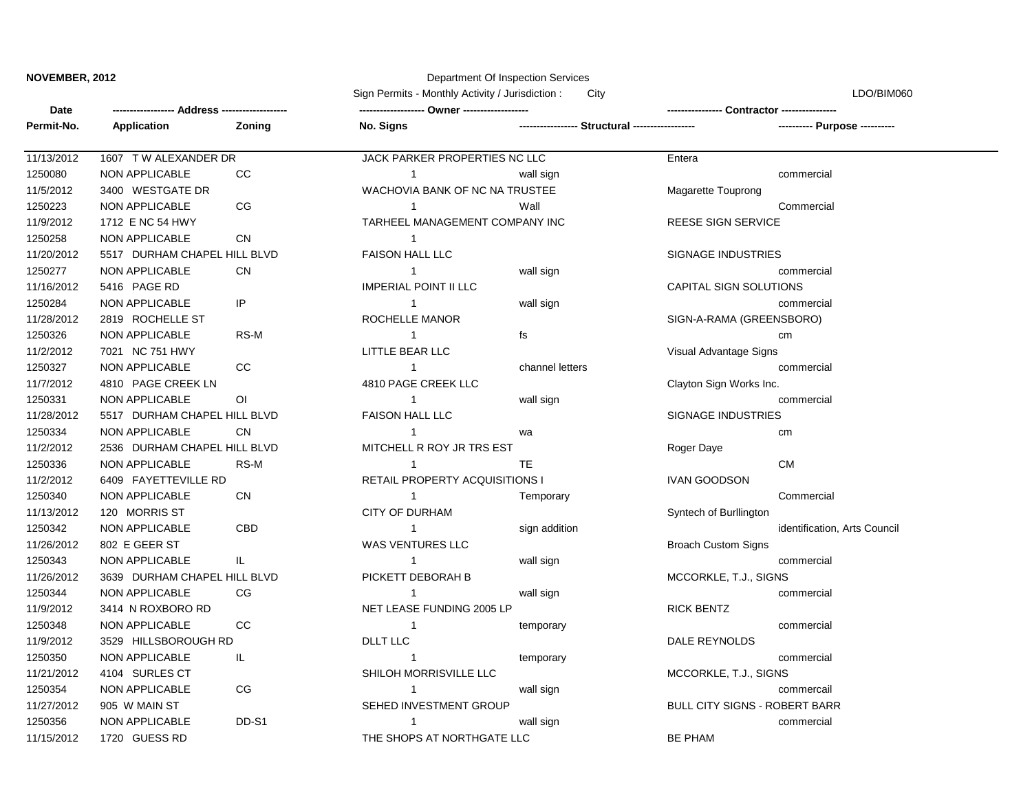## **NOVEMBER, 2012 Department Of Inspection Services**

|            | Address-                     |                | Sign Permits - Monthly Activity / Jurisdiction:<br>City |                 | LDO/BIM060<br><b>Contractor ---------------</b> |  |
|------------|------------------------------|----------------|---------------------------------------------------------|-----------------|-------------------------------------------------|--|
| Date       |                              |                |                                                         |                 |                                                 |  |
| Permit-No. | <b>Application</b>           | Zoning         | No. Signs                                               |                 | Structural -----------------                    |  |
| 11/13/2012 | 1607 TW ALEXANDER DR         |                | JACK PARKER PROPERTIES NC LLC                           |                 | Entera                                          |  |
| 1250080    | <b>NON APPLICABLE</b>        | CC             | $\mathbf{1}$                                            | wall sign       | commercial                                      |  |
| 11/5/2012  | 3400 WESTGATE DR             |                | WACHOVIA BANK OF NC NA TRUSTEE                          |                 | Magarette Touprong                              |  |
| 1250223    | <b>NON APPLICABLE</b>        | CG             | 1                                                       | Wall            | Commercial                                      |  |
| 11/9/2012  | 1712 E NC 54 HWY             |                | TARHEEL MANAGEMENT COMPANY INC                          |                 | <b>REESE SIGN SERVICE</b>                       |  |
| 1250258    | <b>NON APPLICABLE</b>        | <b>CN</b>      | 1                                                       |                 |                                                 |  |
| 11/20/2012 | 5517 DURHAM CHAPEL HILL BLVD |                | <b>FAISON HALL LLC</b>                                  |                 | SIGNAGE INDUSTRIES                              |  |
| 1250277    | <b>NON APPLICABLE</b>        | <b>CN</b>      | $\mathbf{1}$                                            | wall sign       | commercial                                      |  |
| 11/16/2012 | 5416 PAGE RD                 |                | <b>IMPERIAL POINT II LLC</b>                            |                 | <b>CAPITAL SIGN SOLUTIONS</b>                   |  |
| 1250284    | <b>NON APPLICABLE</b>        | IP             | $\mathbf{1}$                                            | wall sign       | commercial                                      |  |
| 11/28/2012 | 2819 ROCHELLE ST             |                | ROCHELLE MANOR                                          |                 | SIGN-A-RAMA (GREENSBORO)                        |  |
| 1250326    | <b>NON APPLICABLE</b>        | RS-M           | $\mathbf 1$                                             | fs              | cm                                              |  |
| 11/2/2012  | 7021 NC 751 HWY              |                | LITTLE BEAR LLC                                         |                 | Visual Advantage Signs                          |  |
| 1250327    | <b>NON APPLICABLE</b>        | cc             | $\mathbf{1}$                                            | channel letters | commercial                                      |  |
| 11/7/2012  | 4810 PAGE CREEK LN           |                | 4810 PAGE CREEK LLC                                     |                 | Clayton Sign Works Inc.                         |  |
| 1250331    | <b>NON APPLICABLE</b>        | O <sub>1</sub> | $\overline{1}$                                          | wall sign       | commercial                                      |  |
| 11/28/2012 | 5517 DURHAM CHAPEL HILL BLVD |                | <b>FAISON HALL LLC</b>                                  |                 | <b>SIGNAGE INDUSTRIES</b>                       |  |
| 1250334    | <b>NON APPLICABLE</b>        | CN             | 1                                                       | wa              | cm                                              |  |
| 11/2/2012  | 2536 DURHAM CHAPEL HILL BLVD |                | MITCHELL R ROY JR TRS EST                               |                 | Roger Daye                                      |  |
| 1250336    | <b>NON APPLICABLE</b>        | RS-M           | $\overline{1}$                                          | TE              | <b>CM</b>                                       |  |
| 11/2/2012  | 6409 FAYETTEVILLE RD         |                | RETAIL PROPERTY ACQUISITIONS I                          |                 | <b>IVAN GOODSON</b>                             |  |
| 1250340    | <b>NON APPLICABLE</b>        | <b>CN</b>      | $\overline{1}$                                          | Temporary       | Commercial                                      |  |
| 11/13/2012 | 120 MORRIS ST                |                | <b>CITY OF DURHAM</b>                                   |                 | Syntech of Burllington                          |  |
| 1250342    | <b>NON APPLICABLE</b>        | CBD            | $\mathbf{1}$                                            | sign addition   | identification, Arts Council                    |  |
| 11/26/2012 | 802 E GEER ST                |                | <b>WAS VENTURES LLC</b>                                 |                 | <b>Broach Custom Signs</b>                      |  |
| 1250343    | <b>NON APPLICABLE</b>        | IL             | $\mathbf{1}$                                            | wall sign       | commercial                                      |  |
| 11/26/2012 | 3639 DURHAM CHAPEL HILL BLVD |                | PICKETT DEBORAH B                                       |                 | MCCORKLE, T.J., SIGNS                           |  |
| 1250344    | <b>NON APPLICABLE</b>        | CG             | $\mathbf{1}$                                            | wall sign       | commercial                                      |  |
| 11/9/2012  | 3414 N ROXBORO RD            |                | NET LEASE FUNDING 2005 LP                               |                 | <b>RICK BENTZ</b>                               |  |
| 1250348    | <b>NON APPLICABLE</b>        | <b>CC</b>      | 1                                                       | temporary       | commercial                                      |  |
| 11/9/2012  | 3529 HILLSBOROUGH RD         |                | <b>DLLT LLC</b>                                         |                 | DALE REYNOLDS                                   |  |
| 1250350    | NON APPLICABLE               | IL.            | -1                                                      | temporary       | commercial                                      |  |
| 11/21/2012 | 4104 SURLES CT               |                | SHILOH MORRISVILLE LLC                                  |                 | MCCORKLE, T.J., SIGNS                           |  |
| 1250354    | NON APPLICABLE               | $CG$           | $\overline{1}$                                          | wall sign       | commercail                                      |  |
| 11/27/2012 | 905 W MAIN ST                |                | SEHED INVESTMENT GROUP                                  |                 | <b>BULL CITY SIGNS - ROBERT BARR</b>            |  |
| 1250356    | NON APPLICABLE               | DD-S1          | -1                                                      | wall sign       | commercial                                      |  |
| 11/15/2012 | 1720 GUESS RD                |                | THE SHOPS AT NORTHGATE LLC                              |                 | <b>BE PHAM</b>                                  |  |